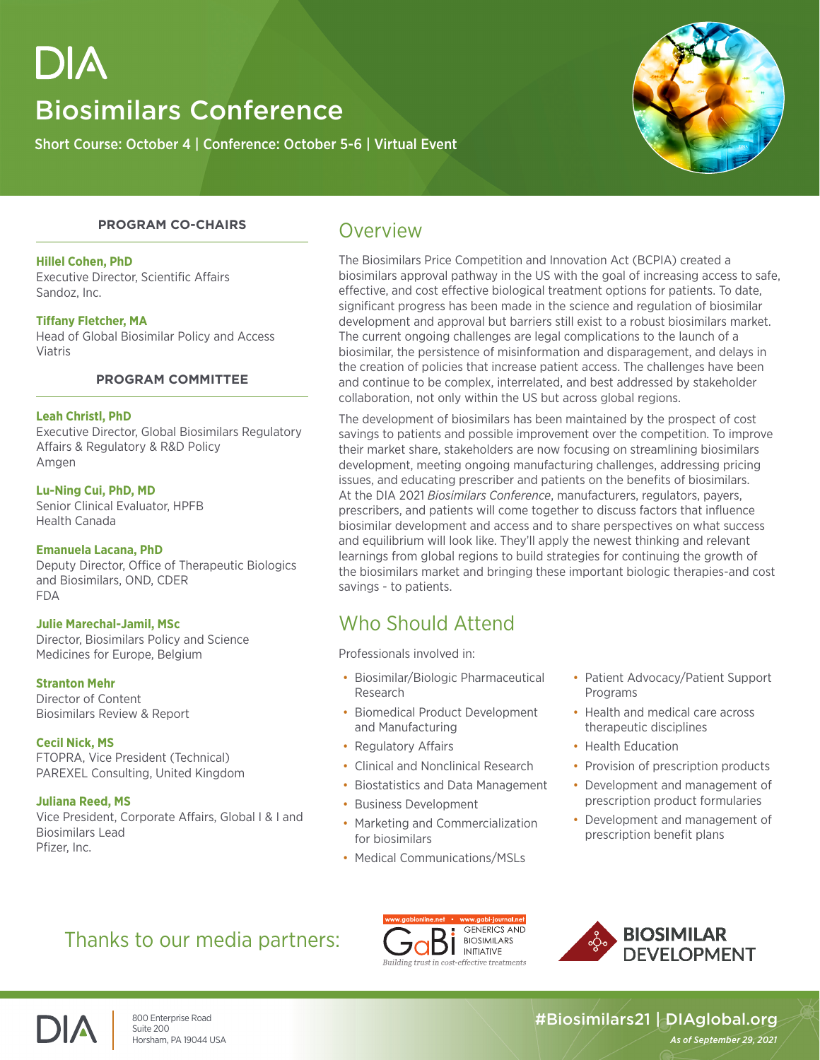# DIA

## Biosimilars Conference

Short Course: October 4 | Conference: October 5-6 | Virtual Event



#### **PROGRAM CO-CHAIRS**

#### **Hillel Cohen, PhD**

Executive Director, Scientific Affairs Sandoz, Inc.

#### **Tiffany Fletcher, MA**

Head of Global Biosimilar Policy and Access Viatris

#### **PROGRAM COMMITTEE**

#### **Leah Christl, PhD**

Executive Director, Global Biosimilars Regulatory Affairs & Regulatory & R&D Policy Amgen

#### **Lu-Ning Cui, PhD, MD**

Senior Clinical Evaluator, HPFB Health Canada

#### **Emanuela Lacana, PhD**

Deputy Director, Office of Therapeutic Biologics and Biosimilars, OND, CDER FDA

#### **Julie Marechal-Jamil, MSc**

Director, Biosimilars Policy and Science Medicines for Europe, Belgium

#### **Stranton Mehr**

Director of Content Biosimilars Review & Report

**Cecil Nick, MS** FTOPRA, Vice President (Technical) PAREXEL Consulting, United Kingdom

**Juliana Reed, MS** Vice President, Corporate Affairs, Global I & I and Biosimilars Lead Pfizer, Inc.

### Overview

The Biosimilars Price Competition and Innovation Act (BCPIA) created a biosimilars approval pathway in the US with the goal of increasing access to safe, effective, and cost effective biological treatment options for patients. To date, significant progress has been made in the science and regulation of biosimilar development and approval but barriers still exist to a robust biosimilars market. The current ongoing challenges are legal complications to the launch of a biosimilar, the persistence of misinformation and disparagement, and delays in the creation of policies that increase patient access. The challenges have been and continue to be complex, interrelated, and best addressed by stakeholder collaboration, not only within the US but across global regions.

The development of biosimilars has been maintained by the prospect of cost savings to patients and possible improvement over the competition. To improve their market share, stakeholders are now focusing on streamlining biosimilars development, meeting ongoing manufacturing challenges, addressing pricing issues, and educating prescriber and patients on the benefits of biosimilars. At the DIA 2021 *Biosimilars Conference*, manufacturers, regulators, payers, prescribers, and patients will come together to discuss factors that influence biosimilar development and access and to share perspectives on what success and equilibrium will look like. They'll apply the newest thinking and relevant learnings from global regions to build strategies for continuing the growth of the biosimilars market and bringing these important biologic therapies-and cost savings - to patients.

### Who Should Attend

Professionals involved in:

- Biosimilar/Biologic Pharmaceutical Research
- Biomedical Product Development and Manufacturing
- Regulatory Affairs
- Clinical and Nonclinical Research
- Biostatistics and Data Management
- Business Development
- Marketing and Commercialization for biosimilars
- Medical Communications/MSLs
- Patient Advocacy/Patient Support Programs
- Health and medical care across therapeutic disciplines
- Health Education
- Provision of prescription products
- Development and management of prescription product formularies
- Development and management of prescription benefit plans

### Thanks to our media partners:







#### 800 Enterprise Road #Biosimilars21 | DIAglobal.org<br>Suite 200<br>Horsham, PA 19044 USA | As of September 29, 2021 Horsham, PA 19044 USA *As of September 29, 2021*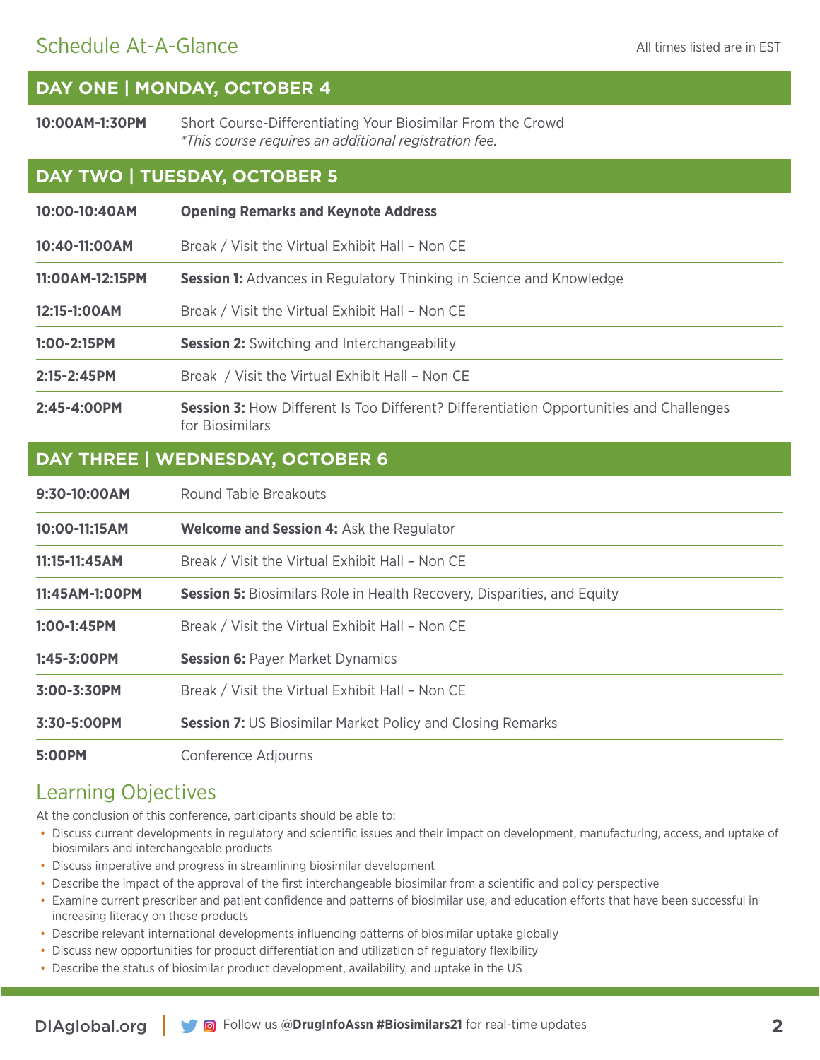### Schedule At-A-Glance

### **DAY ONE | MONDAY, OCTOBER 4**

**10:00AM-1:30PM** Short Course-Differentiating Your Biosimilar From the Crowd *\*This course requires an additional registration fee.*

#### **DAY TWO | TUESDAY, OCTOBER 5**

| 10:00-10:40AM                    | <b>Opening Remarks and Keynote Address</b>                                                                        |
|----------------------------------|-------------------------------------------------------------------------------------------------------------------|
| 10:40-11:00AM                    | Break / Visit the Virtual Exhibit Hall - Non CE                                                                   |
| 11:00AM-12:15PM                  | <b>Session 1:</b> Advances in Regulatory Thinking in Science and Knowledge                                        |
| 12:15-1:00AM                     | Break / Visit the Virtual Exhibit Hall - Non CE                                                                   |
| 1:00-2:15PM                      | <b>Session 2:</b> Switching and Interchangeability                                                                |
| 2:15-2:45PM                      | Break / Visit the Virtual Exhibit Hall - Non CE                                                                   |
| 2:45-4:00PM                      | <b>Session 3:</b> How Different Is Too Different? Differentiation Opportunities and Challenges<br>for Biosimilars |
| DAY THREE   WEDNESDAY, OCTOBER 6 |                                                                                                                   |
| 9:30-10:00AM                     | Round Table Breakouts                                                                                             |
| 10:00-11:15AM                    | <b>Welcome and Session 4: Ask the Regulator</b>                                                                   |
| 11:15-11:45AM                    | Break / Visit the Virtual Exhibit Hall - Non CE                                                                   |
| 11:45AM-1:00PM                   | <b>Session 5:</b> Biosimilars Role in Health Recovery, Disparities, and Equity                                    |
| 1:00-1:45PM                      | Break / Visit the Virtual Exhibit Hall - Non CE                                                                   |
| 1:45-3:00PM                      | <b>Session 6: Payer Market Dynamics</b>                                                                           |
| 3:00-3:30PM                      | Break / Visit the Virtual Exhibit Hall - Non CE                                                                   |
| 3:30-5:00PM                      | <b>Session 7: US Biosimilar Market Policy and Closing Remarks</b>                                                 |

**5:00PM** Conference Adjourns

### Learning Objectives

At the conclusion of this conference, participants should be able to:

- Discuss current developments in regulatory and scientific issues and their impact on development, manufacturing, access, and uptake of biosimilars and interchangeable products
- Discuss imperative and progress in streamlining biosimilar development
- Describe the impact of the approval of the first interchangeable biosimilar from a scientific and policy perspective
- Examine current prescriber and patient confidence and patterns of biosimilar use, and education efforts that have been successful in increasing literacy on these products
- Describe relevant international developments influencing patterns of biosimilar uptake globally
- Discuss new opportunities for product differentiation and utilization of regulatory flexibility
- Describe the status of biosimilar product development, availability, and uptake in the US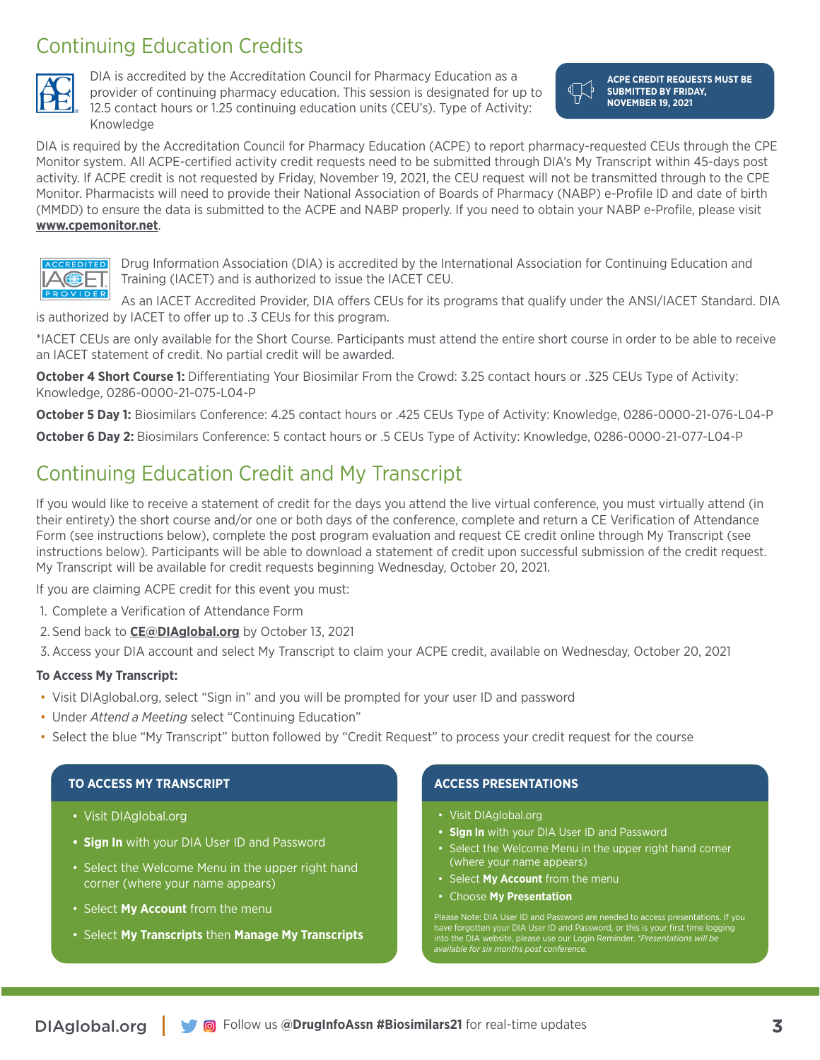### Continuing Education Credits



DIA is accredited by the Accreditation Council for Pharmacy Education as a provider of continuing pharmacy education. This session is designated for up to 12.5 contact hours or 1.25 continuing education units (CEU's). Type of Activity: Knowledge

**ACPE CREDIT REQUESTS MUST BE SUBMITTED BY FRIDAY, NOVEMBER 19, 2021**

DIA is required by the Accreditation Council for Pharmacy Education (ACPE) to report pharmacy-requested CEUs through the CPE Monitor system. All ACPE-certified activity credit requests need to be submitted through DIA's My Transcript within 45-days post activity. If ACPE credit is not requested by Friday, November 19, 2021, the CEU request will not be transmitted through to the CPE Monitor. Pharmacists will need to provide their National Association of Boards of Pharmacy (NABP) e-Profile ID and date of birth (MMDD) to ensure the data is submitted to the ACPE and NABP properly. If you need to obtain your NABP e-Profile, please visit **www.cpemonitor.net**.



Drug Information Association (DIA) is accredited by the International Association for Continuing Education and Training (IACET) and is authorized to issue the IACET CEU.

As an IACET Accredited Provider, DIA offers CEUs for its programs that qualify under the ANSI/IACET Standard. DIA is authorized by IACET to offer up to .3 CEUs for this program.

\*IACET CEUs are only available for the Short Course. Participants must attend the entire short course in order to be able to receive an IACET statement of credit. No partial credit will be awarded.

**October 4 Short Course 1:** Differentiating Your Biosimilar From the Crowd: 3.25 contact hours or .325 CEUs Type of Activity: Knowledge, 0286-0000-21-075-L04-P

**October 5 Day 1:** Biosimilars Conference: 4.25 contact hours or .425 CEUs Type of Activity: Knowledge, 0286-0000-21-076-L04-P

**October 6 Day 2:** Biosimilars Conference: 5 contact hours or .5 CEUs Type of Activity: Knowledge, 0286-0000-21-077-L04-P

### Continuing Education Credit and My Transcript

If you would like to receive a statement of credit for the days you attend the live virtual conference, you must virtually attend (in their entirety) the short course and/or one or both days of the conference, complete and return a CE Verification of Attendance Form (see instructions below), complete the post program evaluation and request CE credit online through My Transcript (see instructions below). Participants will be able to download a statement of credit upon successful submission of the credit request. My Transcript will be available for credit requests beginning Wednesday, October 20, 2021.

If you are claiming ACPE credit for this event you must:

- 1. Complete a Verification of Attendance Form
- 2. Send back to **CE@DIAglobal.org** by October 13, 2021

3.Access your DIA account and select My Transcript to claim your ACPE credit, available on Wednesday, October 20, 2021

#### **To Access My Transcript:**

- Visit DIAglobal.org, select "Sign in" and you will be prompted for your user ID and password
- Under *Attend a Meeting* select "Continuing Education"
- Select the blue "My Transcript" button followed by "Credit Request" to process your credit request for the course

#### **TO ACCESS MY TRANSCRIPT**

- Visit DIAglobal.org
- **• Sign In** with your DIA User ID and Password
- Select the Welcome Menu in the upper right hand corner (where your name appears)
- Select **My Account** from the menu
- Select **My Transcripts** then **Manage My Transcripts**

#### **ACCESS PRESENTATIONS**

- Visit DIAglobal.org
- **• Sign In** with your DIA User ID and Password
- Select the Welcome Menu in the upper right hand corner (where your name appears)
- Select **My Account** from the menu
- Choose **My Presentation**

have forgotten your DIA User ID and Password, or this is your first time logging into the DIA website, please use our Login Reminder. *\*Presentations will be available for six months post conference.*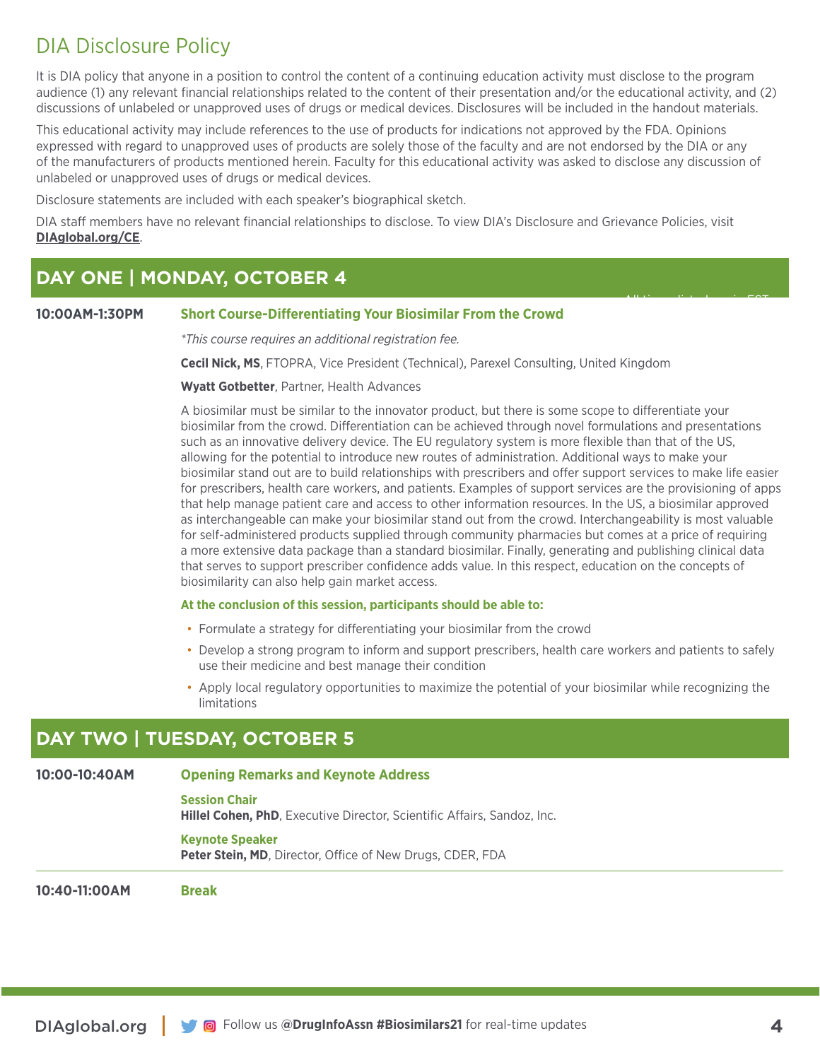### DIA Disclosure Policy

It is DIA policy that anyone in a position to control the content of a continuing education activity must disclose to the program audience (1) any relevant financial relationships related to the content of their presentation and/or the educational activity, and (2) discussions of unlabeled or unapproved uses of drugs or medical devices. Disclosures will be included in the handout materials.

This educational activity may include references to the use of products for indications not approved by the FDA. Opinions expressed with regard to unapproved uses of products are solely those of the faculty and are not endorsed by the DIA or any of the manufacturers of products mentioned herein. Faculty for this educational activity was asked to disclose any discussion of unlabeled or unapproved uses of drugs or medical devices.

Disclosure statements are included with each speaker's biographical sketch.

DIA staff members have no relevant financial relationships to disclose. To view DIA's Disclosure and Grievance Policies, visit **DIAglobal.org/CE**.

### **DAY ONE | MONDAY, OCTOBER 4**

#### **10:00AM-1:30PM Short Course-Differentiating Your Biosimilar From the Crowd**

*\*This course requires an additional registration fee.*

**Cecil Nick, MS**, FTOPRA, Vice President (Technical), Parexel Consulting, United Kingdom

#### **Wyatt Gotbetter**, Partner, Health Advances

A biosimilar must be similar to the innovator product, but there is some scope to differentiate your biosimilar from the crowd. Differentiation can be achieved through novel formulations and presentations such as an innovative delivery device. The EU regulatory system is more flexible than that of the US, allowing for the potential to introduce new routes of administration. Additional ways to make your biosimilar stand out are to build relationships with prescribers and offer support services to make life easier for prescribers, health care workers, and patients. Examples of support services are the provisioning of apps that help manage patient care and access to other information resources. In the US, a biosimilar approved as interchangeable can make your biosimilar stand out from the crowd. Interchangeability is most valuable for self-administered products supplied through community pharmacies but comes at a price of requiring a more extensive data package than a standard biosimilar. Finally, generating and publishing clinical data that serves to support prescriber confidence adds value. In this respect, education on the concepts of biosimilarity can also help gain market access.

#### **At the conclusion of this session, participants should be able to:**

- Formulate a strategy for differentiating your biosimilar from the crowd
- Develop a strong program to inform and support prescribers, health care workers and patients to safely use their medicine and best manage their condition
- Apply local regulatory opportunities to maximize the potential of your biosimilar while recognizing the limitations

### **DAY TWO | TUESDAY, OCTOBER 5**

#### **10:00-10:40AM Opening Remarks and Keynote Address**

**Session Chair** 

**Hillel Cohen, PhD**, Executive Director, Scientific Affairs, Sandoz, Inc.

#### **Keynote Speaker**

**Peter Stein, MD**, Director, Office of New Drugs, CDER, FDA

**10:40-11:00AM Break**

All times listed are in EST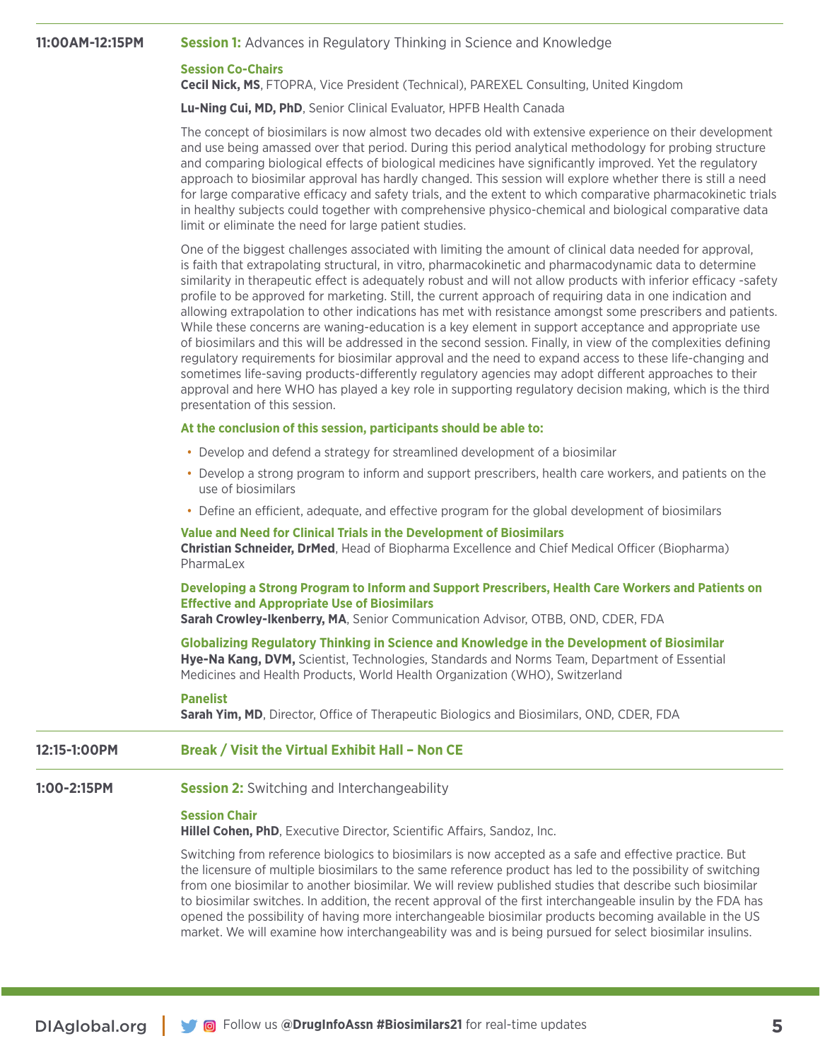#### **11:00AM-12:15PM Session 1:** Advances in Regulatory Thinking in Science and Knowledge

#### **Session Co-Chairs**

**Cecil Nick, MS**, FTOPRA, Vice President (Technical), PAREXEL Consulting, United Kingdom

**Lu-Ning Cui, MD, PhD**, Senior Clinical Evaluator, HPFB Health Canada

The concept of biosimilars is now almost two decades old with extensive experience on their development and use being amassed over that period. During this period analytical methodology for probing structure and comparing biological effects of biological medicines have significantly improved. Yet the regulatory approach to biosimilar approval has hardly changed. This session will explore whether there is still a need for large comparative efficacy and safety trials, and the extent to which comparative pharmacokinetic trials in healthy subjects could together with comprehensive physico-chemical and biological comparative data limit or eliminate the need for large patient studies.

One of the biggest challenges associated with limiting the amount of clinical data needed for approval, is faith that extrapolating structural, in vitro, pharmacokinetic and pharmacodynamic data to determine similarity in therapeutic effect is adequately robust and will not allow products with inferior efficacy -safety profile to be approved for marketing. Still, the current approach of requiring data in one indication and allowing extrapolation to other indications has met with resistance amongst some prescribers and patients. While these concerns are waning-education is a key element in support acceptance and appropriate use of biosimilars and this will be addressed in the second session. Finally, in view of the complexities defining regulatory requirements for biosimilar approval and the need to expand access to these life-changing and sometimes life-saving products-differently regulatory agencies may adopt different approaches to their approval and here WHO has played a key role in supporting regulatory decision making, which is the third presentation of this session.

#### **At the conclusion of this session, participants should be able to:**

- Develop and defend a strategy for streamlined development of a biosimilar
- Develop a strong program to inform and support prescribers, health care workers, and patients on the use of biosimilars
- Define an efficient, adequate, and effective program for the global development of biosimilars

#### **Value and Need for Clinical Trials in the Development of Biosimilars Christian Schneider, DrMed**, Head of Biopharma Excellence and Chief Medical Officer (Biopharma) PharmaLex

#### **Developing a Strong Program to Inform and Support Prescribers, Health Care Workers and Patients on Effective and Appropriate Use of Biosimilars**

**Sarah Crowley-Ikenberry, MA**, Senior Communication Advisor, OTBB, OND, CDER, FDA

**Globalizing Regulatory Thinking in Science and Knowledge in the Development of Biosimilar Hye-Na Kang, DVM,** Scientist, Technologies, Standards and Norms Team, Department of Essential Medicines and Health Products, World Health Organization (WHO), Switzerland

#### **Panelist**

**Sarah Yim, MD**, Director, Office of Therapeutic Biologics and Biosimilars, OND, CDER, FDA

#### **12:15-1:00PM Break / Visit the Virtual Exhibit Hall – Non CE**

#### **1:00-2:15PM Session 2:** Switching and Interchangeability

#### **Session Chair**

**Hillel Cohen, PhD**, Executive Director, Scientific Affairs, Sandoz, Inc.

Switching from reference biologics to biosimilars is now accepted as a safe and effective practice. But the licensure of multiple biosimilars to the same reference product has led to the possibility of switching from one biosimilar to another biosimilar. We will review published studies that describe such biosimilar to biosimilar switches. In addition, the recent approval of the first interchangeable insulin by the FDA has opened the possibility of having more interchangeable biosimilar products becoming available in the US market. We will examine how interchangeability was and is being pursued for select biosimilar insulins.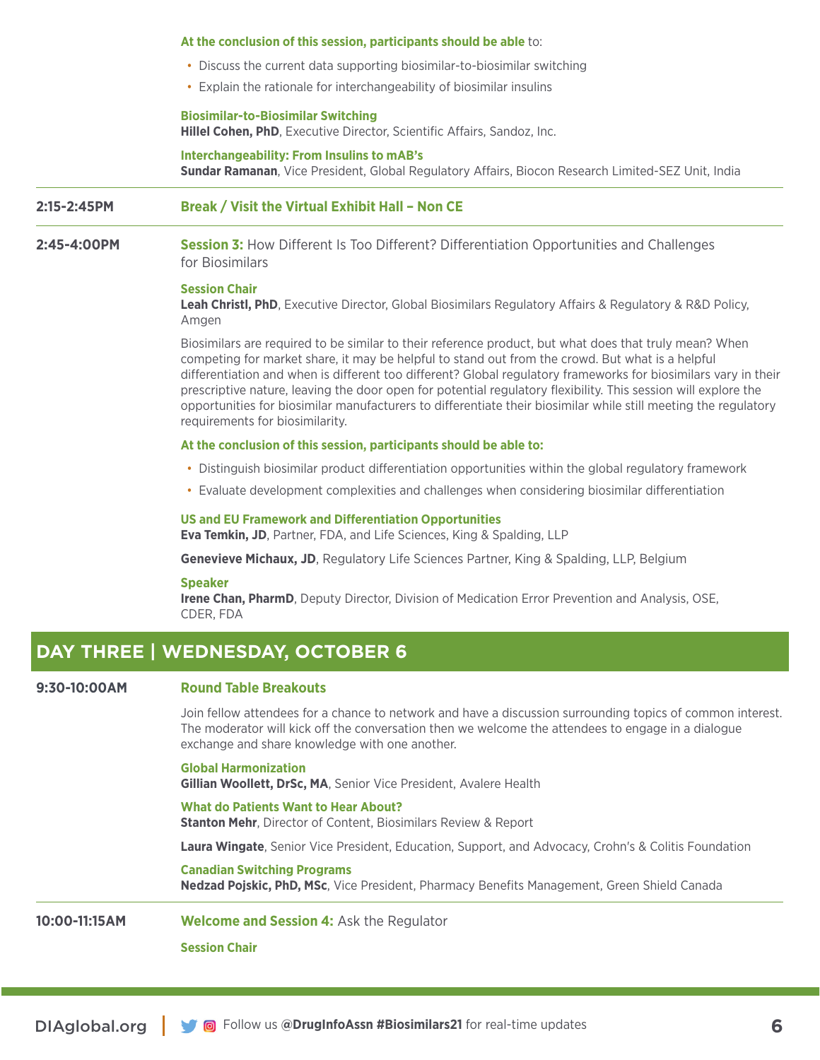#### **At the conclusion of this session, participants should be able** to:

- Discuss the current data supporting biosimilar-to-biosimilar switching
- Explain the rationale for interchangeability of biosimilar insulins

#### **Biosimilar-to-Biosimilar Switching**

**Hillel Cohen, PhD**, Executive Director, Scientific Affairs, Sandoz, Inc.

**Interchangeability: From Insulins to mAB's Sundar Ramanan**, Vice President, Global Regulatory Affairs, Biocon Research Limited-SEZ Unit, India

#### **2:15-2:45PM Break / Visit the Virtual Exhibit Hall – Non CE**

#### **2:45-4:00PM Session 3:** How Different Is Too Different? Differentiation Opportunities and Challenges for Biosimilars

#### **Session Chair**

**Leah Christl, PhD**, Executive Director, Global Biosimilars Regulatory Affairs & Regulatory & R&D Policy, Amgen

Biosimilars are required to be similar to their reference product, but what does that truly mean? When competing for market share, it may be helpful to stand out from the crowd. But what is a helpful differentiation and when is different too different? Global regulatory frameworks for biosimilars vary in their prescriptive nature, leaving the door open for potential regulatory flexibility. This session will explore the opportunities for biosimilar manufacturers to differentiate their biosimilar while still meeting the regulatory requirements for biosimilarity.

#### **At the conclusion of this session, participants should be able to:**

- Distinguish biosimilar product differentiation opportunities within the global regulatory framework
- Evaluate development complexities and challenges when considering biosimilar differentiation

#### **US and EU Framework and Differentiation Opportunities**

**Eva Temkin, JD**, Partner, FDA, and Life Sciences, King & Spalding, LLP

**Genevieve Michaux, JD**, Regulatory Life Sciences Partner, King & Spalding, LLP, Belgium

#### **Speaker**

**Irene Chan, PharmD**, Deputy Director, Division of Medication Error Prevention and Analysis, OSE, CDER, FDA

#### **DAY THREE | WEDNESDAY, OCTOBER 6**

#### **9:30-10:00AM Round Table Breakouts**

Join fellow attendees for a chance to network and have a discussion surrounding topics of common interest. The moderator will kick off the conversation then we welcome the attendees to engage in a dialogue exchange and share knowledge with one another.

**Global Harmonization Gillian Woollett, DrSc, MA**, Senior Vice President, Avalere Health

**What do Patients Want to Hear About? Stanton Mehr**, Director of Content, Biosimilars Review & Report

**Laura Wingate**, Senior Vice President, Education, Support, and Advocacy, Crohn's & Colitis Foundation

**Canadian Switching Programs Nedzad Pojskic, PhD, MSc**, Vice President, Pharmacy Benefits Management, Green Shield Canada

**10:00-11:15AM Welcome and Session 4:** Ask the Regulator

**Session Chair**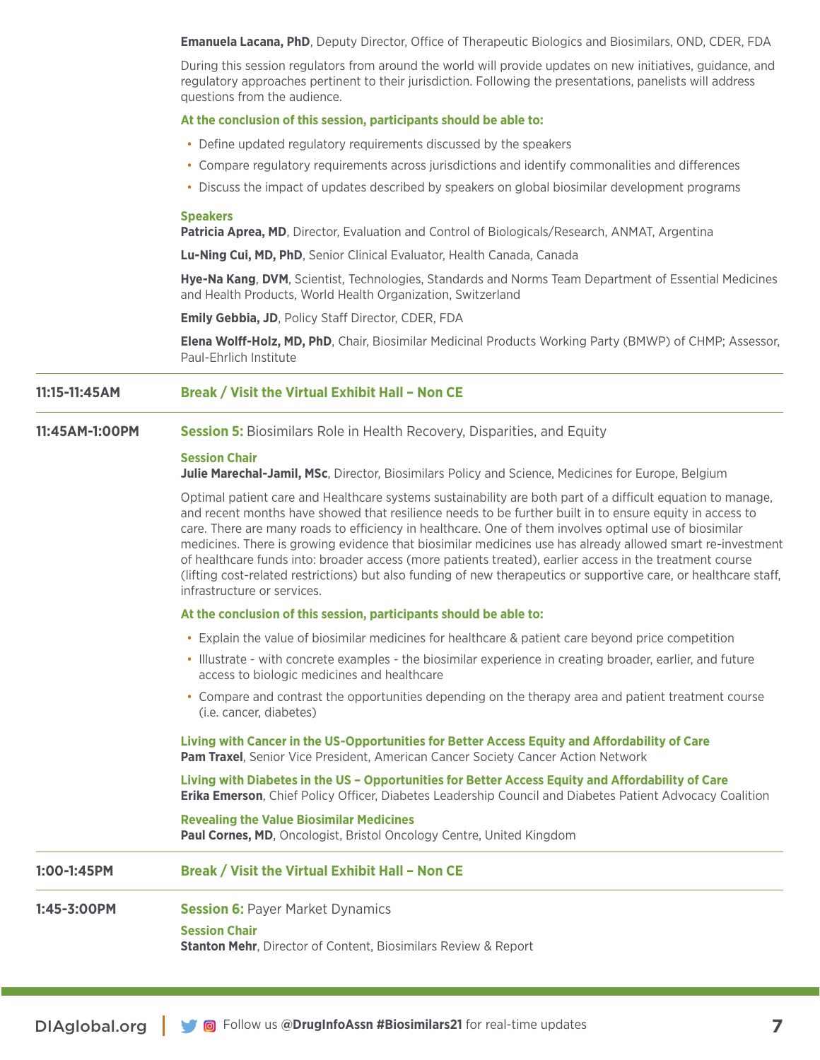**Emanuela Lacana, PhD**, Deputy Director, Office of Therapeutic Biologics and Biosimilars, OND, CDER, FDA

During this session regulators from around the world will provide updates on new initiatives, guidance, and regulatory approaches pertinent to their jurisdiction. Following the presentations, panelists will address questions from the audience.

#### **At the conclusion of this session, participants should be able to:**

- Define updated regulatory requirements discussed by the speakers
- Compare regulatory requirements across jurisdictions and identify commonalities and differences
- Discuss the impact of updates described by speakers on global biosimilar development programs

#### **Speakers**

**Patricia Aprea, MD**, Director, Evaluation and Control of Biologicals/Research, ANMAT, Argentina

**Lu-Ning Cui, MD, PhD**, Senior Clinical Evaluator, Health Canada, Canada

**Hye-Na Kang**, **DVM**, Scientist, Technologies, Standards and Norms Team Department of Essential Medicines and Health Products, World Health Organization, Switzerland

**Emily Gebbia, JD**, Policy Staff Director, CDER, FDA

**Elena Wolff-Holz, MD, PhD**, Chair, Biosimilar Medicinal Products Working Party (BMWP) of CHMP; Assessor, Paul-Ehrlich Institute

#### **11:15-11:45AM Break / Visit the Virtual Exhibit Hall – Non CE**

#### **11:45AM-1:00PM Session 5:** Biosimilars Role in Health Recovery, Disparities, and Equity

#### **Session Chair**

**Julie Marechal-Jamil, MSc**, Director, Biosimilars Policy and Science, Medicines for Europe, Belgium

Optimal patient care and Healthcare systems sustainability are both part of a difficult equation to manage, and recent months have showed that resilience needs to be further built in to ensure equity in access to care. There are many roads to efficiency in healthcare. One of them involves optimal use of biosimilar medicines. There is growing evidence that biosimilar medicines use has already allowed smart re-investment of healthcare funds into: broader access (more patients treated), earlier access in the treatment course (lifting cost-related restrictions) but also funding of new therapeutics or supportive care, or healthcare staff, infrastructure or services.

#### **At the conclusion of this session, participants should be able to:**

- Explain the value of biosimilar medicines for healthcare & patient care beyond price competition
- Illustrate with concrete examples the biosimilar experience in creating broader, earlier, and future access to biologic medicines and healthcare
- Compare and contrast the opportunities depending on the therapy area and patient treatment course (i.e. cancer, diabetes)

**Living with Cancer in the US-Opportunities for Better Access Equity and Affordability of Care Pam Traxel**, Senior Vice President, American Cancer Society Cancer Action Network

**Living with Diabetes in the US – Opportunities for Better Access Equity and Affordability of Care Erika Emerson**, Chief Policy Officer, Diabetes Leadership Council and Diabetes Patient Advocacy Coalition

#### **Revealing the Value Biosimilar Medicines**

**Paul Cornes, MD**, Oncologist, Bristol Oncology Centre, United Kingdom

#### **1:00-1:45PM Break / Visit the Virtual Exhibit Hall – Non CE**

**1:45-3:00PM Session 6: Payer Market Dynamics** 

**Session Chair**

**Stanton Mehr**, Director of Content, Biosimilars Review & Report